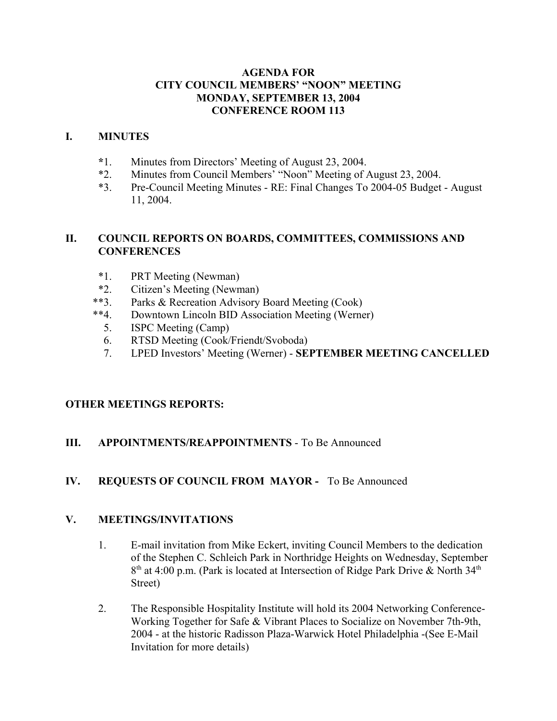### **AGENDA FOR CITY COUNCIL MEMBERS' "NOON" MEETING MONDAY, SEPTEMBER 13, 2004 CONFERENCE ROOM 113**

#### **I. MINUTES**

- **\***1. Minutes from Directors' Meeting of August 23, 2004.
- \*2. Minutes from Council Members' "Noon" Meeting of August 23, 2004.
- \*3. Pre-Council Meeting Minutes RE: Final Changes To 2004-05 Budget August 11, 2004.

### **II. COUNCIL REPORTS ON BOARDS, COMMITTEES, COMMISSIONS AND CONFERENCES**

- \*1. PRT Meeting (Newman)
- \*2. Citizen's Meeting (Newman)
- \*\*3. Parks & Recreation Advisory Board Meeting (Cook)
- \*\*4. Downtown Lincoln BID Association Meeting (Werner)
	- 5. ISPC Meeting (Camp)
	- 6. RTSD Meeting (Cook/Friendt/Svoboda)
	- 7. LPED Investors' Meeting (Werner) **SEPTEMBER MEETING CANCELLED**

# **OTHER MEETINGS REPORTS:**

## **III. APPOINTMENTS/REAPPOINTMENTS** - To Be Announced

### **IV. REQUESTS OF COUNCIL FROM MAYOR -** To Be Announced

### **V. MEETINGS/INVITATIONS**

- 1. E-mail invitation from Mike Eckert, inviting Council Members to the dedication of the Stephen C. Schleich Park in Northridge Heights on Wednesday, September  $8<sup>th</sup>$  at 4:00 p.m. (Park is located at Intersection of Ridge Park Drive & North 34<sup>th</sup> Street)
- 2. The Responsible Hospitality Institute will hold its 2004 Networking Conference-Working Together for Safe & Vibrant Places to Socialize on November 7th-9th, 2004 - at the historic Radisson Plaza-Warwick Hotel Philadelphia -(See E-Mail Invitation for more details)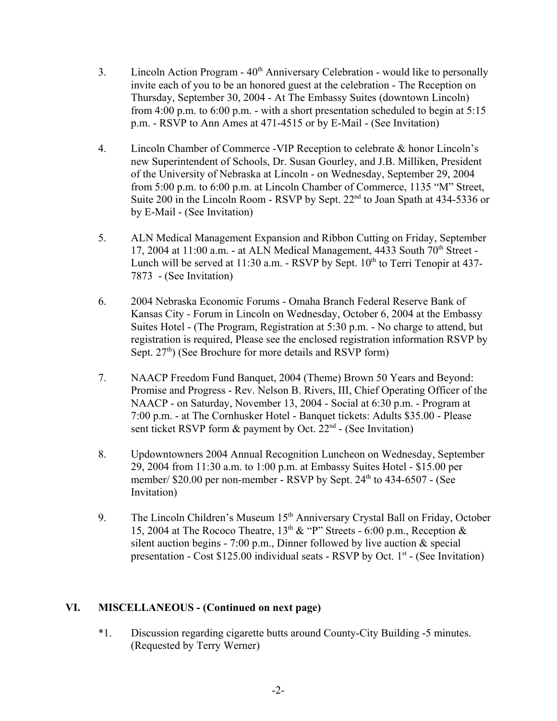- 3. Lincoln Action Program  $40<sup>th</sup>$  Anniversary Celebration would like to personally invite each of you to be an honored guest at the celebration - The Reception on Thursday, September 30, 2004 - At The Embassy Suites (downtown Lincoln) from 4:00 p.m. to 6:00 p.m. - with a short presentation scheduled to begin at 5:15 p.m. - RSVP to Ann Ames at 471-4515 or by E-Mail - (See Invitation)
- 4. Lincoln Chamber of Commerce -VIP Reception to celebrate & honor Lincoln's new Superintendent of Schools, Dr. Susan Gourley, and J.B. Milliken, President of the University of Nebraska at Lincoln - on Wednesday, September 29, 2004 from 5:00 p.m. to 6:00 p.m. at Lincoln Chamber of Commerce, 1135 "M" Street, Suite 200 in the Lincoln Room - RSVP by Sept. 22<sup>nd</sup> to Joan Spath at 434-5336 or by E-Mail - (See Invitation)
- 5. ALN Medical Management Expansion and Ribbon Cutting on Friday, September 17, 2004 at  $11:00$  a.m. - at ALN Medical Management, 4433 South  $70<sup>th</sup>$  Street -Lunch will be served at  $11:30$  a.m. - RSVP by Sept.  $10<sup>th</sup>$  to Terri Tenopir at 437-7873 - (See Invitation)
- 6. 2004 Nebraska Economic Forums Omaha Branch Federal Reserve Bank of Kansas City - Forum in Lincoln on Wednesday, October 6, 2004 at the Embassy Suites Hotel - (The Program, Registration at 5:30 p.m. - No charge to attend, but registration is required, Please see the enclosed registration information RSVP by Sept.  $27<sup>th</sup>$ ) (See Brochure for more details and RSVP form)
- 7. NAACP Freedom Fund Banquet, 2004 (Theme) Brown 50 Years and Beyond: Promise and Progress - Rev. Nelson B. Rivers, III, Chief Operating Officer of the NAACP - on Saturday, November 13, 2004 - Social at 6:30 p.m. - Program at 7:00 p.m. - at The Cornhusker Hotel - Banquet tickets: Adults \$35.00 - Please sent ticket RSVP form  $\&$  payment by Oct.  $22<sup>nd</sup>$  - (See Invitation)
- 8. Updowntowners 2004 Annual Recognition Luncheon on Wednesday, September 29, 2004 from 11:30 a.m. to 1:00 p.m. at Embassy Suites Hotel - \$15.00 per member/ \$20.00 per non-member - RSVP by Sept. 24<sup>th</sup> to 434-6507 - (See Invitation)
- 9. The Lincoln Children's Museum 15<sup>th</sup> Anniversary Crystal Ball on Friday, October 15, 2004 at The Rococo Theatre,  $13<sup>th</sup> \& ^{\circ}P^{\prime}$  Streets - 6:00 p.m., Reception  $\&$ silent auction begins - 7:00 p.m., Dinner followed by live auction  $\&$  special presentation - Cost  $$125.00$  individual seats - RSVP by Oct.  $1<sup>st</sup>$  - (See Invitation)

### **VI. MISCELLANEOUS - (Continued on next page)**

\*1. Discussion regarding cigarette butts around County-City Building -5 minutes. (Requested by Terry Werner)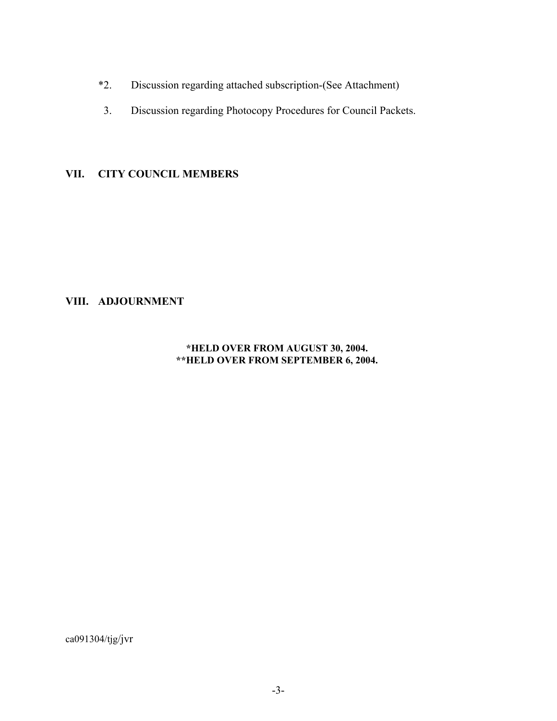- \*2. Discussion regarding attached subscription-(See Attachment)
- 3. Discussion regarding Photocopy Procedures for Council Packets.

## **VII. CITY COUNCIL MEMBERS**

### **VIII. ADJOURNMENT**

#### **\*HELD OVER FROM AUGUST 30, 2004. \*\*HELD OVER FROM SEPTEMBER 6, 2004.**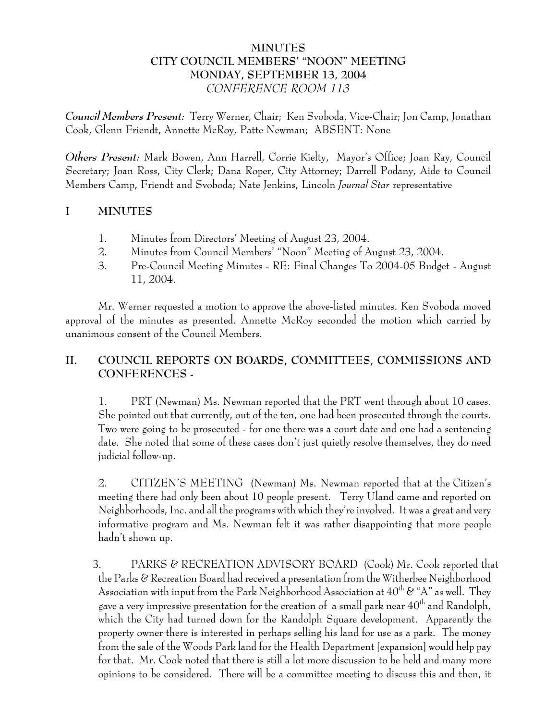## **MINUTES CITY COUNCIL MEMBERS' "NOON" MEETING MONDAY, SEPTEMBER 13, 2004** *CONFERENCE ROOM 113*

*Council Members Present:* Terry Werner, Chair; Ken Svoboda, Vice-Chair; Jon Camp, Jonathan Cook, Glenn Friendt, Annette McRoy, Patte Newman; ABSENT: None

*Others Present:* Mark Bowen, Ann Harrell, Corrie Kielty, Mayor's Office; Joan Ray, Council Secretary; Joan Ross, City Clerk; Dana Roper, City Attorney; Darrell Podany, Aide to Council Members Camp, Friendt and Svoboda; Nate Jenkins, Lincoln *Journal Star* representative

## **I MINUTES**

- 1. Minutes from Directors' Meeting of August 23, 2004.
- 2. Minutes from Council Members' "Noon" Meeting of August 23, 2004.
- 3. Pre-Council Meeting Minutes RE: Final Changes To 2004-05 Budget August 11, 2004.

Mr. Werner requested a motion to approve the above-listed minutes. Ken Svoboda moved approval of the minutes as presented. Annette McRoy seconded the motion which carried by unanimous consent of the Council Members.

## **II. COUNCIL REPORTS ON BOARDS, COMMITTEES, COMMISSIONS AND CONFERENCES -**

1. PRT (Newman) Ms. Newman reported that the PRT went through about 10 cases. She pointed out that currently, out of the ten, one had been prosecuted through the courts. Two were going to be prosecuted - for one there was a court date and one had a sentencing date. She noted that some of these cases don't just quietly resolve themselves, they do need judicial follow-up.

2. CITIZEN'S MEETING (Newman) Ms. Newman reported that at the Citizen's meeting there had only been about 10 people present. Terry Uland came and reported on Neighborhoods, Inc. and all the programs with which they're involved. It was a great and very informative program and Ms. Newman felt it was rather disappointing that more people hadn't shown up.

3. PARKS & RECREATION ADVISORY BOARD (Cook) Mr. Cook reported that the Parks & Recreation Board had received a presentation from the Witherbee Neighborhood Association with input from the Park Neighborhood Association at  $40^{th}$  & "A" as well. They gave a very impressive presentation for the creation of a small park near  $40^{th}$  and Randolph, which the City had turned down for the Randolph Square development. Apparently the property owner there is interested in perhaps selling his land for use as a park. The money from the sale of the Woods Park land for the Health Department [expansion] would help pay for that. Mr. Cook noted that there is still a lot more discussion to be held and many more opinions to be considered. There will be a committee meeting to discuss this and then, it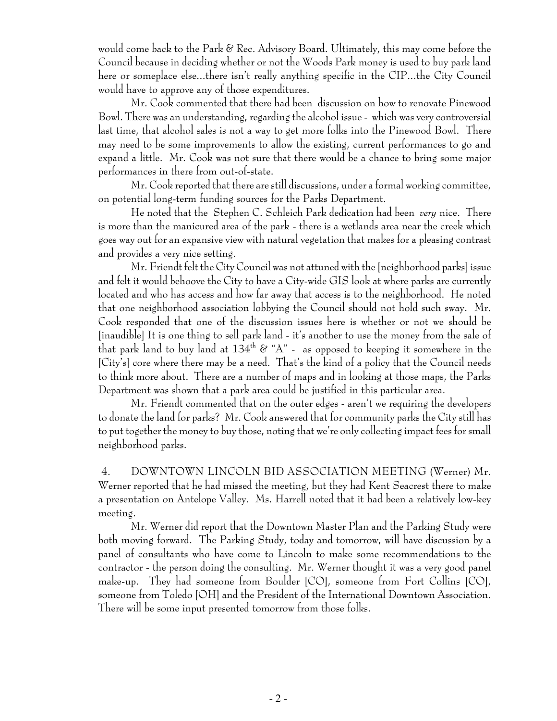would come back to the Park & Rec. Advisory Board. Ultimately, this may come before the Council because in deciding whether or not the Woods Park money is used to buy park land here or someplace else...there isn't really anything specific in the CIP...the City Council would have to approve any of those expenditures.

Mr. Cook commented that there had been discussion on how to renovate Pinewood Bowl. There was an understanding, regarding the alcohol issue - which was very controversial last time, that alcohol sales is not a way to get more folks into the Pinewood Bowl. There may need to be some improvements to allow the existing, current performances to go and expand a little. Mr. Cook was not sure that there would be a chance to bring some major performances in there from out-of-state.

Mr. Cook reported that there are still discussions, under a formal working committee, on potential long-term funding sources for the Parks Department.

He noted that the Stephen C. Schleich Park dedication had been *very* nice. There is more than the manicured area of the park - there is a wetlands area near the creek which goes way out for an expansive view with natural vegetation that makes for a pleasing contrast and provides a very nice setting.

Mr. Friendt felt the City Council was not attuned with the [neighborhood parks] issue and felt it would behoove the City to have a City-wide GIS look at where parks are currently located and who has access and how far away that access is to the neighborhood. He noted that one neighborhood association lobbying the Council should not hold such sway. Mr. Cook responded that one of the discussion issues here is whether or not we should be [inaudible] It is one thing to sell park land - it's another to use the money from the sale of that park land to buy land at  $134<sup>th</sup>$  & "A" - as opposed to keeping it somewhere in the [City's] core where there may be a need. That's the kind of a policy that the Council needs to think more about. There are a number of maps and in looking at those maps, the Parks Department was shown that a park area could be justified in this particular area.

Mr. Friendt commented that on the outer edges - aren't we requiring the developers to donate the land for parks? Mr. Cook answered that for community parks the City still has to put together the money to buy those, noting that we're only collecting impact fees for small neighborhood parks.

 4. DOWNTOWN LINCOLN BID ASSOCIATION MEETING (Werner) Mr. Werner reported that he had missed the meeting, but they had Kent Seacrest there to make a presentation on Antelope Valley. Ms. Harrell noted that it had been a relatively low-key meeting.

Mr. Werner did report that the Downtown Master Plan and the Parking Study were both moving forward. The Parking Study, today and tomorrow, will have discussion by a panel of consultants who have come to Lincoln to make some recommendations to the contractor - the person doing the consulting. Mr. Werner thought it was a very good panel make-up. They had someone from Boulder [CO], someone from Fort Collins [CO], someone from Toledo [OH] and the President of the International Downtown Association. There will be some input presented tomorrow from those folks.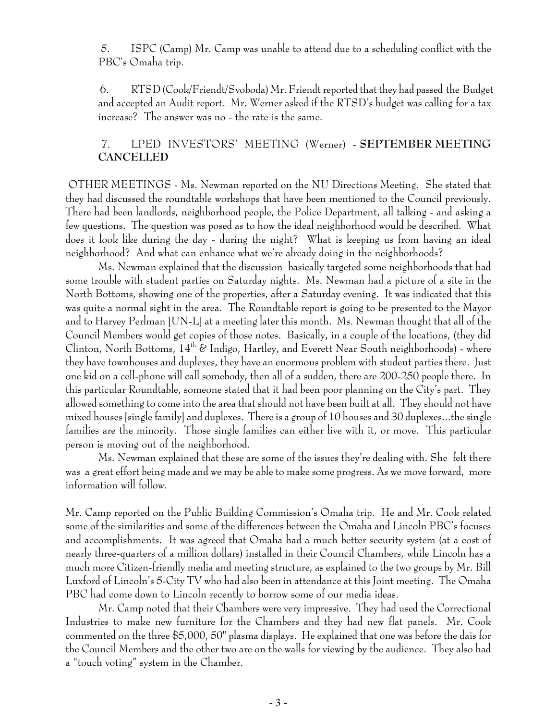5. ISPC (Camp) Mr. Camp was unable to attend due to a scheduling conflict with the PBC's Omaha trip.

 6. RTSD (Cook/Friendt/Svoboda) Mr. Friendt reported that they had passed the Budget and accepted an Audit report. Mr. Werner asked if the RTSD's budget was calling for a tax increase? The answer was no - the rate is the same.

# 7. LPED INVESTORS' MEETING (Werner) - **SEPTEMBER MEETING CANCELLED**

 OTHER MEETINGS - Ms. Newman reported on the NU Directions Meeting. She stated that they had discussed the roundtable workshops that have been mentioned to the Council previously. There had been landlords, neighborhood people, the Police Department, all talking - and asking a few questions. The question was posed as to how the ideal neighborhood would be described. What does it look like during the day - during the night? What is keeping us from having an ideal neighborhood? And what can enhance what we're already doing in the neighborhoods?

Ms. Newman explained that the discussion basically targeted some neighborhoods that had some trouble with student parties on Saturday nights. Ms. Newman had a picture of a site in the North Bottoms, showing one of the properties, after a Saturday evening. It was indicated that this was quite a normal sight in the area. The Roundtable report is going to be presented to the Mayor and to Harvey Perlman [UN-L] at a meeting later this month. Ms. Newman thought that all of the Council Members would get copies of those notes. Basically, in a couple of the locations, (they did Clinton, North Bottoms,  $14<sup>th</sup>$  & Indigo, Hartley, and Everett Near South neighborhoods) - where they have townhouses and duplexes, they have an enormous problem with student parties there. Just one kid on a cell-phone will call somebody, then all of a sudden, there are 200-250 people there. In this particular Roundtable, someone stated that it had been poor planning on the City's part. They allowed something to come into the area that should not have been built at all. They should not have mixed houses [single family] and duplexes. There is a group of 10 houses and 30 duplexes...the single families are the minority. Those single families can either live with it, or move. This particular person is moving out of the neighborhood.

Ms. Newman explained that these are some of the issues they're dealing with. She felt there was a great effort being made and we may be able to make some progress. As we move forward, more information will follow.

Mr. Camp reported on the Public Building Commission's Omaha trip. He and Mr. Cook related some of the similarities and some of the differences between the Omaha and Lincoln PBC's focuses and accomplishments. It was agreed that Omaha had a much better security system (at a cost of nearly three-quarters of a million dollars) installed in their Council Chambers, while Lincoln has a much more Citizen-friendly media and meeting structure, as explained to the two groups by Mr. Bill Luxford of Lincoln's 5-City TV who had also been in attendance at this Joint meeting. The Omaha PBC had come down to Lincoln recently to borrow some of our media ideas.

Mr. Camp noted that their Chambers were very impressive. They had used the Correctional Industries to make new furniture for the Chambers and they had new flat panels. Mr. Cook commented on the three \$5,000, 50" plasma displays. He explained that one was before the dais for the Council Members and the other two are on the walls for viewing by the audience. They also had a "touch voting" system in the Chamber.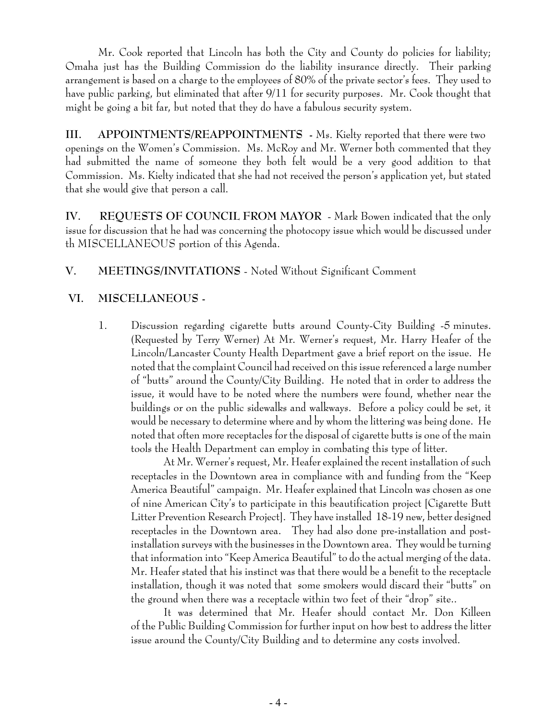Mr. Cook reported that Lincoln has both the City and County do policies for liability; Omaha just has the Building Commission do the liability insurance directly. Their parking arrangement is based on a charge to the employees of 80% of the private sector's fees. They used to have public parking, but eliminated that after 9/11 for security purposes. Mr. Cook thought that might be going a bit far, but noted that they do have a fabulous security system.

**III. APPOINTMENTS/REAPPOINTMENTS -** Ms. Kielty reported that there were two openings on the Women's Commission. Ms. McRoy and Mr. Werner both commented that they had submitted the name of someone they both felt would be a very good addition to that Commission. Ms. Kielty indicated that she had not received the person's application yet, but stated that she would give that person a call.

**IV. REQUESTS OF COUNCIL FROM MAYOR** - Mark Bowen indicated that the only issue for discussion that he had was concerning the photocopy issue which would be discussed under th MISCELLANEOUS portion of this Agenda.

# **V. MEETINGS/INVITATIONS** - Noted Without Significant Comment

## **VI. MISCELLANEOUS -**

1. Discussion regarding cigarette butts around County-City Building -5 minutes. (Requested by Terry Werner) At Mr. Werner's request, Mr. Harry Heafer of the Lincoln/Lancaster County Health Department gave a brief report on the issue. He noted that the complaint Council had received on this issue referenced a large number of "butts" around the County/City Building. He noted that in order to address the issue, it would have to be noted where the numbers were found, whether near the buildings or on the public sidewalks and walkways. Before a policy could be set, it would be necessary to determine where and by whom the littering was being done. He noted that often more receptacles for the disposal of cigarette butts is one of the main tools the Health Department can employ in combating this type of litter.

At Mr. Werner's request, Mr. Heafer explained the recent installation of such receptacles in the Downtown area in compliance with and funding from the "Keep America Beautiful" campaign. Mr. Heafer explained that Lincoln was chosen as one of nine American City's to participate in this beautification project [Cigarette Butt Litter Prevention Research Project]. They have installed 18-19 new, better designed receptacles in the Downtown area. They had also done pre-installation and postinstallation surveys with the businesses in the Downtown area. They would be turning that information into "Keep America Beautiful" to do the actual merging of the data. Mr. Heafer stated that his instinct was that there would be a benefit to the receptacle installation, though it was noted that some smokers would discard their "butts" on the ground when there was a receptacle within two feet of their "drop" site..

It was determined that Mr. Heafer should contact Mr. Don Killeen of the Public Building Commission for further input on how best to address the litter issue around the County/City Building and to determine any costs involved.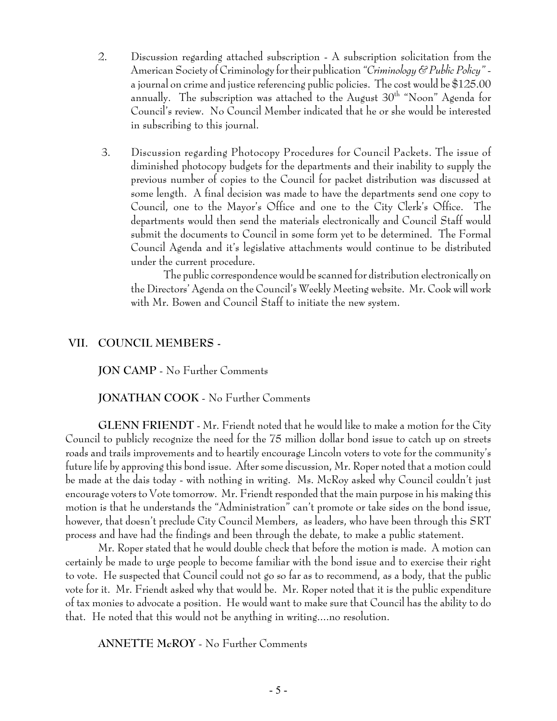- 2. Discussion regarding attached subscription A subscription solicitation from the American Society of Criminology for their publication *"Criminology & Public Policy"* a journal on crime and justice referencing public policies. The cost would be \$125.00 annually. The subscription was attached to the August 30<sup>th</sup> "Noon" Agenda for Council's review. No Council Member indicated that he or she would be interested in subscribing to this journal.
- 3. Discussion regarding Photocopy Procedures for Council Packets. The issue of diminished photocopy budgets for the departments and their inability to supply the previous number of copies to the Council for packet distribution was discussed at some length. A final decision was made to have the departments send one copy to Council, one to the Mayor's Office and one to the City Clerk's Office. The departments would then send the materials electronically and Council Staff would submit the documents to Council in some form yet to be determined. The Formal Council Agenda and it's legislative attachments would continue to be distributed under the current procedure.

The public correspondence would be scanned for distribution electronically on the Directors' Agenda on the Council's Weekly Meeting website. Mr. Cook will work with Mr. Bowen and Council Staff to initiate the new system.

#### **VII. COUNCIL MEMBERS -**

**JON CAMP** - No Further Comments

**JONATHAN COOK** - No Further Comments

**GLENN FRIENDT** - Mr. Friendt noted that he would like to make a motion for the City Council to publicly recognize the need for the 75 million dollar bond issue to catch up on streets roads and trails improvements and to heartily encourage Lincoln voters to vote for the community's future life by approving this bond issue. After some discussion, Mr. Roper noted that a motion could be made at the dais today - with nothing in writing. Ms. McRoy asked why Council couldn't just encourage voters to Vote tomorrow. Mr. Friendt responded that the main purpose in his making this motion is that he understands the "Administration" can't promote or take sides on the bond issue, however, that doesn't preclude City Council Members, as leaders, who have been through this SRT process and have had the findings and been through the debate, to make a public statement.

Mr. Roper stated that he would double check that before the motion is made. A motion can certainly be made to urge people to become familiar with the bond issue and to exercise their right to vote. He suspected that Council could not go so far as to recommend, as a body, that the public vote for it. Mr. Friendt asked why that would be. Mr. Roper noted that it is the public expenditure of tax monies to advocate a position. He would want to make sure that Council has the ability to do that. He noted that this would not be anything in writing....no resolution.

**ANNETTE McROY** - No Further Comments